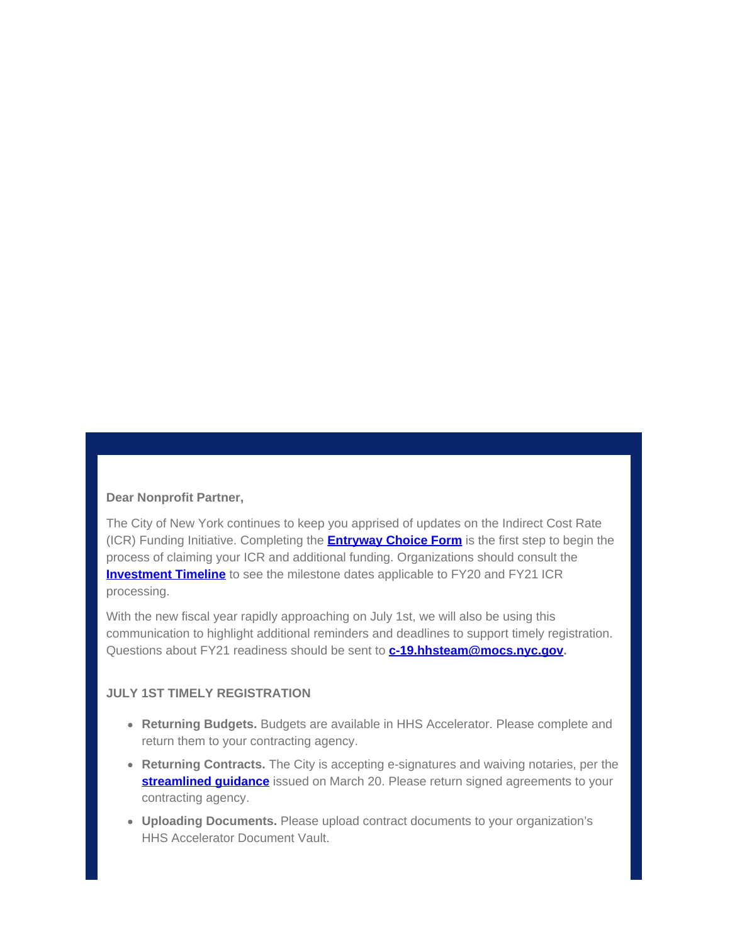## **Dear Nonprofit Partner,**

The City of New York continues to keep you apprised of updates on the Indirect Cost Rate (ICR) Funding Initiative. Completing the **[Entryway Choice Form](https://gcc01.safelinks.protection.outlook.com/?url=https%3A%2F%2Fwww1.nyc.gov%2Fsite%2Fnonprofits%2Ffunded-providers%2Findirect-entryway-choice-form.page%3Futm_medium%3Demail%26utm_source%3Dgovdelivery&data=02%7C01%7Coluwa.small%40mocs.nyc.gov%7Cae1ee118cfe340584f1d08d7eb9e0ef8%7C32f56fc75f814e22a95b15da66513bef%7C0%7C0%7C637236937432306036&sdata=%2BsWhaawyWfpZ9n8aITk78ZIAlP9A%2BE3EApvonVuXzic%3D&reserved=0)** is the first step to begin the process of claiming your ICR and additional funding. Organizations should consult the **[Investment Timeline](https://gcc01.safelinks.protection.outlook.com/?url=https%3A%2F%2Fwww1.nyc.gov%2Fassets%2Fnonprofits%2Fdownloads%2Fpdf%2FInvestment%2520Timeline.pdf%3Futm_medium%3Demail%26utm_source%3Dgovdelivery&data=02%7C01%7Coluwa.small%40mocs.nyc.gov%7Cae1ee118cfe340584f1d08d7eb9e0ef8%7C32f56fc75f814e22a95b15da66513bef%7C0%7C0%7C637236937432306036&sdata=VzpY9KGLrh5IXj2T8J%2F%2BeLBTYiiKQuvPHWg6i9B67LQ%3D&reserved=0)** to see the milestone dates applicable to FY20 and FY21 ICR processing.

With the new fiscal year rapidly approaching on July 1st, we will also be using this communication to highlight additional reminders and deadlines to support timely registration. Questions about FY21 readiness should be sent to **[c-19.hhsteam@mocs.nyc.gov](mailto:c-19.hhsteam@mocs.nyc.gov).**

## **JULY 1ST TIMELY REGISTRATION**

- **Returning Budgets.** Budgets are available in HHS Accelerator. Please complete and return them to your contracting agency.
- **Returning Contracts.** The City is accepting e-signatures and waiving notaries, per the **streamlined quidance** issued on March 20. Please return signed agreements to your contracting agency.
- **Uploading Documents.** Please upload contract documents to your organization's HHS Accelerator Document Vault.